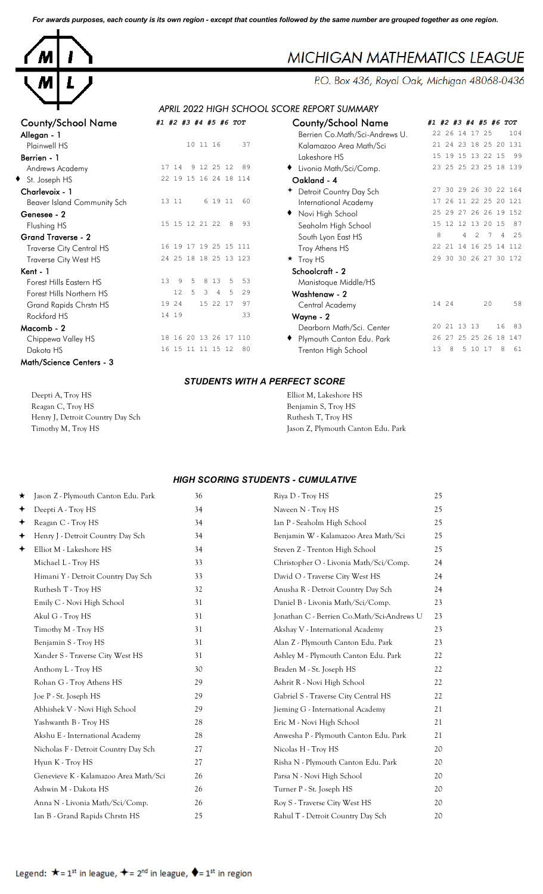*For awards purposes, each county is its own region - except that counties followed by the same number are grouped together as one region.*



### County/School Name *#1 #2 #3 #4 #5 #6 TOT* County/School Name *#1 #2 #3 #4 #5 #6 TOT* Allegan - 1 **Allegan - 1** Berrien Co.Math/Sci-Andrews U. 22 26 14 17 25 104 **Berrien - 1** 15 19 15 17 18 22 15 19 15 17 18 18 19 15 17 18 18 19 15 17 18 18 19 15 17 18 22 15 17 18 18 18 19 Andrews Academy 17 14 9 12 25 12 89  $\bullet$  St. Joseph HS 22 19 15 16 24 18 114 Charlevoix - 1 **Charlevoix - 1 Charlevoix - 1 Country Day Sch** 27 30 29 26 30 22 164 Beaver Island Community Sch 13 11 6 19 11 60 **Genesee - 2** to the contract of the Novi High School 25 29 27 26 26 19 152 Flushing HS 15 15 15 12 21 22 8 93 Grand Traverse - 2<br>
Traverse City Central HS 8 4 29 17 19 25 15 111 Traverse City Central HS Traverse City West HS 24 25 18 18 25 13 123 Kent - 1 Schoolcraft - 2 Forest Hills Eastern HS 13 9 5 8 13 5 53<br>
Forest Hills Northern HS 12 5 3 4 5 29 Forest Hills Northern HS Grand Rapids Chrstn HS 19 24 15 22 17 97  $Rockford HS$   $14 19$   $33$ Macomb - 2 **Macomb - 2** Dearborn Math/Sci. Center 20 21 13 13 16 83 Chippewa Valley HS 18 16 20 13 26 17 110 Dakota HS 16 15 11 11 15 12 80 Math/Science Centers - 3

| ounty/School Name:          | #1 #2 #3 #4 #5 #6 TOT                      | <b>County/School Name</b>      | #1 #2 #3 #4 #5 #6 TOT                                               |
|-----------------------------|--------------------------------------------|--------------------------------|---------------------------------------------------------------------|
| llegan - 1                  |                                            | Berrien Co.Math/Sci-Andrews U. | 22 26 14 17 25<br>104                                               |
| Plainwell HS                | 37<br>10 11 16                             | Kalamazoo Area Math/Sci        | 21 24 23 18 25 20 131                                               |
| errien - 1                  |                                            | Lakeshore HS                   | 15 19 15 13 22 15<br>99                                             |
| Andrews Academy             | 9 12 25 12<br>17 14<br>89                  | Livonia Math/Sci/Comp.         | 23 25 25 23 25 18 139                                               |
| St. Joseph HS               | 22 19 15 16 24 18 114                      | Oakland - 4                    |                                                                     |
| harlevoix - 1               |                                            | + Detroit Country Day Sch      | 27 30 29 26 30 22 164                                               |
| Beaver Island Community Sch | 6 19 11 60<br>13 11                        | International Academy          | 17 26 11 22 25 20 121                                               |
| enesee - 2                  |                                            | Novi High School               | 25 29 27 26 26 19 152                                               |
| Flushing HS                 | 15 15 12 21 22 8<br>93                     | Seaholm High School            | 15 12 12 13 20 15<br>87                                             |
| rand Traverse - 2           |                                            | South Lyon East HS             | 8<br>4<br>$\mathcal{L}$<br>$\overline{7}$<br>$\overline{4}$<br>- 25 |
| Traverse City Central HS    | 16 19 17 19 25 15 111                      | Troy Athens HS                 | 22 21 14 16 25 14 112                                               |
| Traverse City West HS       | 24 25 18 18 25 13 123                      | $\star$ Troy HS                | 29 30 30 26 27 30 172                                               |
| ent - 1                     |                                            | Schoolcraft - 2                |                                                                     |
| Forest Hills Eastern HS     | 13<br>9<br>8<br>13<br>53<br>.5<br>5        | Manistoque Middle/HS           |                                                                     |
| Forest Hills Northern HS    | 12 <sup>°</sup><br>.5<br>3<br>29<br>4<br>5 | Washtenaw - 2                  |                                                                     |
| Grand Rapids Chrstn HS      | 19 24<br>15 22 17<br>97                    | Central Academy                | 58<br>14 24<br>20                                                   |
| Rockford HS                 | 14 19<br>33                                | Wayne - 2                      |                                                                     |
| .acomb - 2                  |                                            | Dearborn Math/Sci. Center      | 20 21 13 13<br>16<br>83                                             |
| Chippewa Valley HS          | 18 16 20 13 26 17 110                      | Plymouth Canton Edu. Park      | 26 27 25 25 26 18 147                                               |
| Dakota HS                   | 80<br>16 15 11 11 15 12                    | Trenton High School            | 61<br>13<br>5 10 17<br>8                                            |
|                             |                                            |                                |                                                                     |

#### *STUDENTS WITH A PERFECT SCORE*

| Deepti A, Troy HS                | Elliot M, Lakeshore HS             |
|----------------------------------|------------------------------------|
| Reagan C, Troy HS                | Benjamin S, Troy HS                |
| Henry J, Detroit Country Day Sch | Ruthesh T, Troy HS                 |
| Timothy M, Troy HS               | Jason Z, Plymouth Canton Edu. Park |

### *HIGH SCORING STUDENTS - CUMULATIVE*

| $\star$ | Jason Z - Plymouth Canton Edu. Park   | 36 | Riya D - Troy HS                           | 25 |
|---------|---------------------------------------|----|--------------------------------------------|----|
| ✦       | Deepti A - Troy HS                    | 34 | Naveen N - Troy HS                         | 25 |
| ✦       | Reagan C - Troy HS                    | 34 | Ian P - Seaholm High School                | 25 |
| ✦       | Henry J - Detroit Country Day Sch     | 34 | Benjamin W - Kalamazoo Area Math/Sci       | 25 |
| ✦       | Elliot M - Lakeshore HS               | 34 | Steven Z - Trenton High School             | 25 |
|         | Michael L - Troy HS                   | 33 | Christopher O - Livonia Math/Sci/Comp.     | 24 |
|         | Himani Y - Detroit Country Day Sch    | 33 | David O - Traverse City West HS            | 24 |
|         | Ruthesh T - Troy HS                   | 32 | Anusha R - Detroit Country Day Sch         | 24 |
|         | Emily C - Novi High School            | 31 | Daniel B - Livonia Math/Sci/Comp.          | 23 |
|         | Akul G - Troy HS                      | 31 | Jonathan C - Berrien Co.Math/Sci-Andrews U | 23 |
|         | Timothy M - Troy HS                   | 31 | Akshay V - International Academy           | 23 |
|         | Benjamin S - Troy HS                  | 31 | Alan Z - Plymouth Canton Edu. Park         | 23 |
|         | Xander S - Traverse City West HS      | 31 | Ashley M - Plymouth Canton Edu. Park       | 22 |
|         | Anthony L - Troy HS                   | 30 | Braden M - St. Joseph HS                   | 22 |
|         | Rohan G - Troy Athens HS              | 29 | Ashrit R - Novi High School                | 22 |
|         | Joe P - St. Joseph HS                 | 29 | Gabriel S - Traverse City Central HS       | 22 |
|         | Abhishek V - Novi High School         | 29 | Jieming G - International Academy          | 21 |
|         | Yashwanth B - Troy HS                 | 28 | Eric M - Novi High School                  | 21 |
|         | Akshu E - International Academy       | 28 | Anwesha P - Plymouth Canton Edu. Park      | 21 |
|         | Nicholas F - Detroit Country Day Sch  | 27 | Nicolas H - Troy HS                        | 20 |
|         | Hyun K - Troy HS                      | 27 | Risha N - Plymouth Canton Edu. Park        | 20 |
|         | Genevieve K - Kalamazoo Area Math/Sci | 26 | Parsa N - Novi High School                 | 20 |
|         | Ashwin M - Dakota HS                  | 26 | Turner P - St. Joseph HS                   | 20 |
|         | Anna N - Livonia Math/Sci/Comp.       | 26 | Roy S - Traverse City West HS              | 20 |
|         | Ian B - Grand Rapids Chrstn HS        | 25 | Rahul T - Detroit Country Day Sch          | 20 |
|         |                                       |    |                                            |    |

# **MICHIGAN MATHEMATICS LEAGUE**

P.O. Box 436, Royal Oak, Michigan 48068-0436

## *APRIL 2022 HIGH SCHOOL SCORE REPORT SUMMARY*